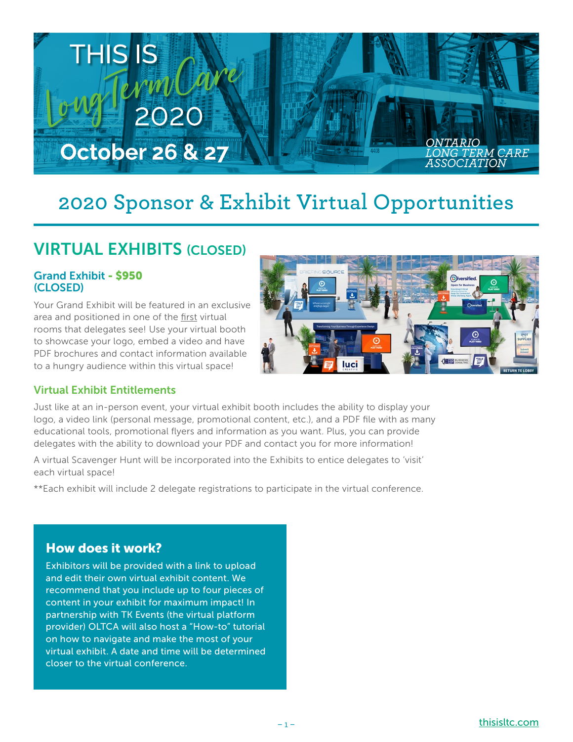

# **2020 Sponsor & Exhibit Virtual Opportunities**

# VIRTUAL EXHIBITS (CLOSED)

#### Grand Exhibit - \$950 (CLOSED)

Your Grand Exhibit will be featured in an exclusive area and positioned in one of the first virtual rooms that delegates see! Use your virtual booth to showcase your logo, embed a video and have PDF brochures and contact information available to a hungry audience within this virtual space!



### Virtual Exhibit Entitlements

Just like at an in-person event, your virtual exhibit booth includes the ability to display your logo, a video link (personal message, promotional content, etc.), and a PDF file with as many educational tools, promotional flyers and information as you want. Plus, you can provide delegates with the ability to download your PDF and contact you for more information!

A virtual Scavenger Hunt will be incorporated into the Exhibits to entice delegates to 'visit' each virtual space!

\*\*Each exhibit will include 2 delegate registrations to participate in the virtual conference.

## How does it work?

Exhibitors will be provided with a link to upload and edit their own virtual exhibit content. We recommend that you include up to four pieces of content in your exhibit for maximum impact! In partnership with TK Events (the virtual platform provider) OLTCA will also host a "How-to" tutorial on how to navigate and make the most of your virtual exhibit. A date and time will be determined closer to the virtual conference.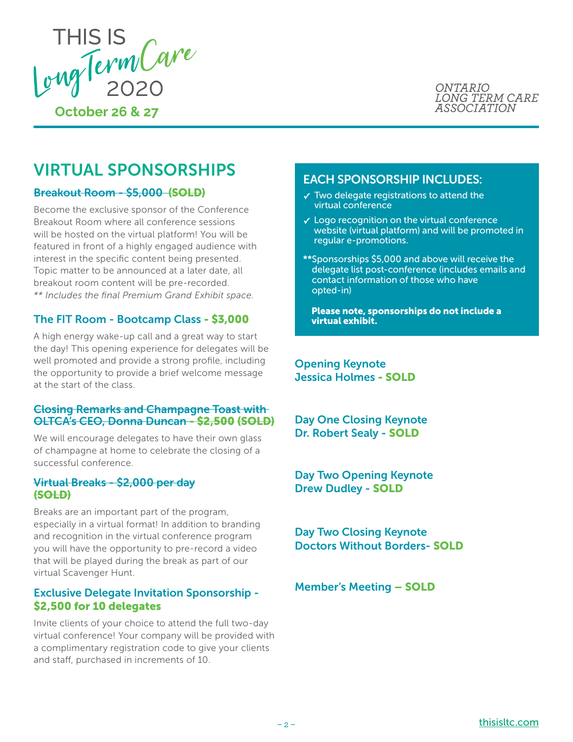



# VIRTUAL SPONSORSHIPS

## Breakout Room - \$5,000 (SOLD)

Become the exclusive sponsor of the Conference Breakout Room where all conference sessions will be hosted on the virtual platform! You will be featured in front of a highly engaged audience with interest in the specific content being presented. Topic matter to be announced at a later date, all breakout room content will be pre-recorded. *\*\* Includes the final Premium Grand Exhibit space.*

### The FIT Room - Bootcamp Class - \$3,000

A high energy wake-up call and a great way to start the day! This opening experience for delegates will be well promoted and provide a strong profile, including the opportunity to provide a brief welcome message at the start of the class.

#### Closing Remarks and Champagne Toast with OLTCA's CEO, Donna Duncan - \$2,500 (SOLD)

We will encourage delegates to have their own glass of champagne at home to celebrate the closing of a successful conference.

#### Virtual Breaks - \$2,000 per day (SOLD)

Breaks are an important part of the program, especially in a virtual format! In addition to branding and recognition in the virtual conference program you will have the opportunity to pre-record a video that will be played during the break as part of our virtual Scavenger Hunt.

#### Exclusive Delegate Invitation Sponsorship - \$2,500 for 10 delegates

Invite clients of your choice to attend the full two-day virtual conference! Your company will be provided with a complimentary registration code to give your clients and staff, purchased in increments of 10.

# EACH SPONSORSHIP INCLUDES:

- **✓** Two delegate registrations to attend the virtual conference
- **✓** Logo recognition on the virtual conference website (virtual platform) and will be promoted in regular e-promotions.
- \*\*Sponsorships \$5,000 and above will receive the delegate list post-conference (includes emails and contact information of those who have opted-in)

Please note, sponsorships do not include a virtual exhibit.

Opening Keynote Jessica Holmes - SOLD

Day One Closing Keynote Dr. Robert Sealy - SOLD

Day Two Opening Keynote Drew Dudley - SOLD

Day Two Closing Keynote Doctors Without Borders- SOLD

Member's Meeting – SOLD